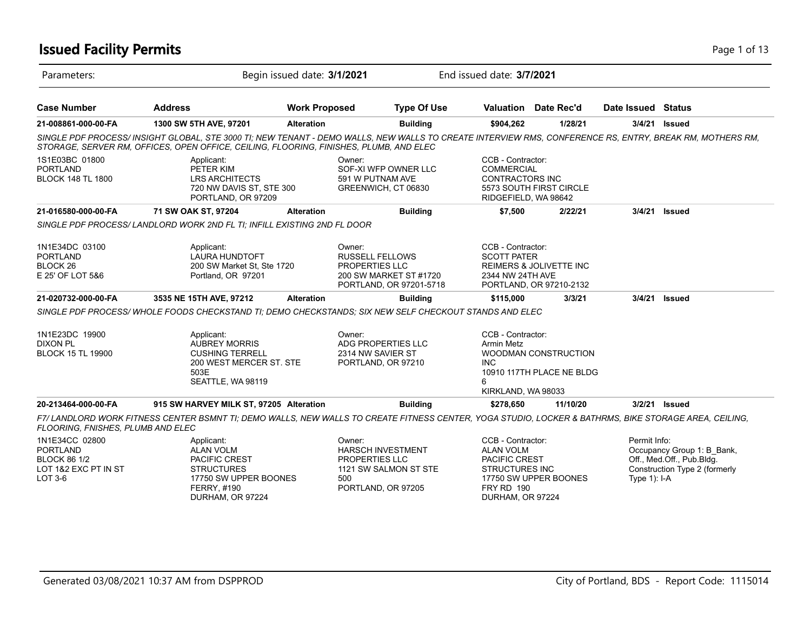# **Issued Facility Permits** Page 1 of 13

| Parameters:                                                                                 |                                                                                                                                                                                                                                                    | Begin issued date: 3/1/2021 |                                                                                                                   | End issued date: 3/7/2021                                                                                                |                                                    |                              |                                                                                          |
|---------------------------------------------------------------------------------------------|----------------------------------------------------------------------------------------------------------------------------------------------------------------------------------------------------------------------------------------------------|-----------------------------|-------------------------------------------------------------------------------------------------------------------|--------------------------------------------------------------------------------------------------------------------------|----------------------------------------------------|------------------------------|------------------------------------------------------------------------------------------|
| <b>Case Number</b>                                                                          | <b>Address</b>                                                                                                                                                                                                                                     | <b>Work Proposed</b>        | <b>Type Of Use</b>                                                                                                |                                                                                                                          | <b>Valuation</b> Date Rec'd                        | Date Issued Status           |                                                                                          |
| 21-008861-000-00-FA                                                                         | 1300 SW 5TH AVE, 97201                                                                                                                                                                                                                             | <b>Alteration</b>           | <b>Building</b>                                                                                                   | \$904,262                                                                                                                | 1/28/21                                            |                              | 3/4/21 Issued                                                                            |
|                                                                                             | SINGLE PDF PROCESS/ INSIGHT GLOBAL, STE 3000 TI; NEW TENANT - DEMO WALLS, NEW WALLS TO CREATE INTERVIEW RMS, CONFERENCE RS, ENTRY, BREAK RM, MOTHERS RM,<br>STORAGE, SERVER RM, OFFICES, OPEN OFFICE, CEILING, FLOORING, FINISHES, PLUMB, AND ELEC |                             |                                                                                                                   |                                                                                                                          |                                                    |                              |                                                                                          |
| 1S1E03BC 01800<br><b>PORTLAND</b><br><b>BLOCK 148 TL 1800</b>                               | Applicant:<br>PETER KIM<br><b>LRS ARCHITECTS</b><br>720 NW DAVIS ST, STE 300<br>PORTLAND, OR 97209                                                                                                                                                 |                             | Owner:<br>SOF-XI WFP OWNER LLC<br>591 W PUTNAM AVE<br>GREENWICH, CT 06830                                         | CCB - Contractor:<br><b>COMMERCIAL</b><br><b>CONTRACTORS INC</b><br>RIDGEFIELD, WA 98642                                 | 5573 SOUTH FIRST CIRCLE                            |                              |                                                                                          |
| 21-016580-000-00-FA                                                                         | 71 SW OAK ST, 97204                                                                                                                                                                                                                                | <b>Alteration</b>           | <b>Building</b>                                                                                                   | \$7,500                                                                                                                  | 2/22/21                                            | 3/4/21                       | <b>Issued</b>                                                                            |
|                                                                                             | SINGLE PDF PROCESS/ LANDLORD WORK 2ND FL TI; INFILL EXISTING 2ND FL DOOR                                                                                                                                                                           |                             |                                                                                                                   |                                                                                                                          |                                                    |                              |                                                                                          |
| 1N1E34DC 03100<br><b>PORTLAND</b><br>BLOCK <sub>26</sub><br>E 25' OF LOT 5&6                | Applicant:<br><b>LAURA HUNDTOFT</b><br>200 SW Market St. Ste 1720<br>Portland, OR 97201                                                                                                                                                            |                             | Owner:<br><b>RUSSELL FELLOWS</b><br>PROPERTIES LLC<br>200 SW MARKET ST #1720<br>PORTLAND, OR 97201-5718           | CCB - Contractor:<br><b>SCOTT PATER</b><br>2344 NW 24TH AVE                                                              | REIMERS & JOLIVETTE INC<br>PORTLAND, OR 97210-2132 |                              |                                                                                          |
| 21-020732-000-00-FA                                                                         | 3535 NE 15TH AVE, 97212                                                                                                                                                                                                                            | <b>Alteration</b>           | <b>Building</b>                                                                                                   | \$115,000                                                                                                                | 3/3/21                                             | 3/4/21                       | <b>Issued</b>                                                                            |
|                                                                                             | SINGLE PDF PROCESS/WHOLE FOODS CHECKSTAND TI: DEMO CHECKSTANDS: SIX NEW SELF CHECKOUT STANDS AND ELEC                                                                                                                                              |                             |                                                                                                                   |                                                                                                                          |                                                    |                              |                                                                                          |
| 1N1E23DC 19900<br><b>DIXON PL</b><br><b>BLOCK 15 TL 19900</b>                               | Applicant:<br><b>AUBREY MORRIS</b><br><b>CUSHING TERRELL</b><br>200 WEST MERCER ST. STE<br>503E<br>SEATTLE, WA 98119                                                                                                                               |                             | Owner:<br>ADG PROPERTIES LLC<br>2314 NW SAVIER ST<br>PORTLAND, OR 97210                                           | CCB - Contractor:<br>Armin Metz<br><b>INC</b><br>6<br>KIRKLAND, WA 98033                                                 | WOODMAN CONSTRUCTION<br>10910 117TH PLACE NE BLDG  |                              |                                                                                          |
| 20-213464-000-00-FA                                                                         | 915 SW HARVEY MILK ST, 97205 Alteration                                                                                                                                                                                                            |                             | <b>Building</b>                                                                                                   | \$278,650                                                                                                                | 11/10/20                                           |                              | 3/2/21 Issued                                                                            |
| FLOORING, FNISHES, PLUMB AND ELEC                                                           | F7/LANDLORD WORK FITNESS CENTER BSMNT TI; DEMO WALLS, NEW WALLS TO CREATE FITNESS CENTER, YOGA STUDIO, LOCKER & BATHRMS, BIKE STORAGE AREA, CEILING,                                                                                               |                             |                                                                                                                   |                                                                                                                          |                                                    |                              |                                                                                          |
| 1N1E34CC 02800<br><b>PORTLAND</b><br><b>BLOCK 86 1/2</b><br>LOT 1&2 EXC PT IN ST<br>LOT 3-6 | Applicant:<br><b>ALAN VOLM</b><br><b>PACIFIC CREST</b><br><b>STRUCTURES</b><br>17750 SW UPPER BOONES<br>FERRY, #190<br>DURHAM, OR 97224                                                                                                            |                             | Owner:<br><b>HARSCH INVESTMENT</b><br><b>PROPERTIES LLC</b><br>1121 SW SALMON ST STE<br>500<br>PORTLAND, OR 97205 | CCB - Contractor:<br><b>ALAN VOLM</b><br><b>PACIFIC CREST</b><br><b>STRUCTURES INC</b><br>FRY RD 190<br>DURHAM, OR 97224 | 17750 SW UPPER BOONES                              | Permit Info:<br>Type 1): I-A | Occupancy Group 1: B_Bank,<br>Off., Med.Off., Pub.Bldg.<br>Construction Type 2 (formerly |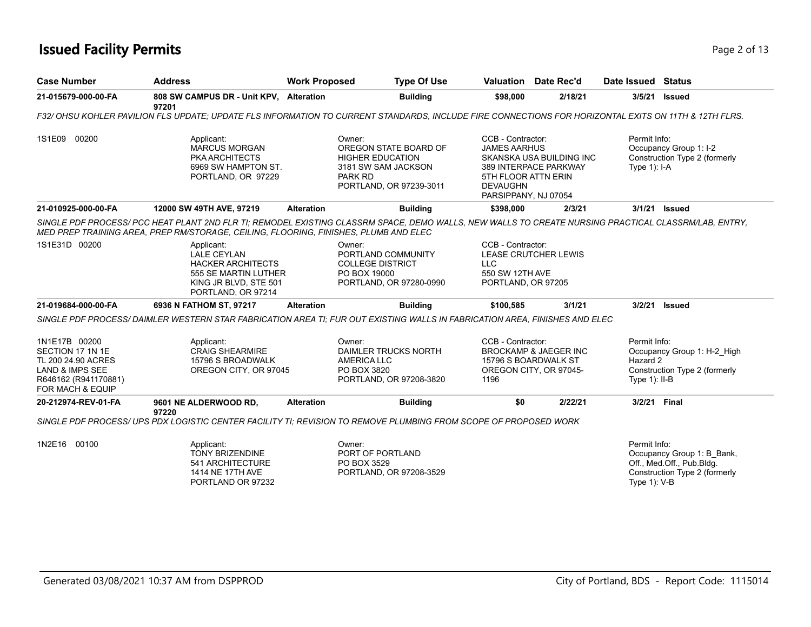# **Issued Facility Permits** Page 2 of 13

| <b>Case Number</b>                                                                                                                           | <b>Address</b>                                                                                                                                                                                                                               | <b>Work Proposed</b>                        | <b>Type Of Use</b>                                                                                 | Valuation Date Rec'd                                                                                                                |                                  | Date Issued Status                           |                                                                                          |
|----------------------------------------------------------------------------------------------------------------------------------------------|----------------------------------------------------------------------------------------------------------------------------------------------------------------------------------------------------------------------------------------------|---------------------------------------------|----------------------------------------------------------------------------------------------------|-------------------------------------------------------------------------------------------------------------------------------------|----------------------------------|----------------------------------------------|------------------------------------------------------------------------------------------|
| 21-015679-000-00-FA                                                                                                                          | 808 SW CAMPUS DR - Unit KPV, Alteration<br>97201                                                                                                                                                                                             |                                             | <b>Building</b>                                                                                    | \$98.000                                                                                                                            | 2/18/21                          | 3/5/21                                       | <b>Issued</b>                                                                            |
|                                                                                                                                              | F32/ OHSU KOHLER PAVILION FLS UPDATE; UPDATE FLS INFORMATION TO CURRENT STANDARDS, INCLUDE FIRE CONNECTIONS FOR HORIZONTAL EXITS ON 11TH & 12TH FLRS.                                                                                        |                                             |                                                                                                    |                                                                                                                                     |                                  |                                              |                                                                                          |
| 1S1E09 00200                                                                                                                                 | Applicant:<br><b>MARCUS MORGAN</b><br><b>PKA ARCHITECTS</b><br>6969 SW HAMPTON ST.<br>PORTLAND, OR 97229                                                                                                                                     | Owner:<br>PARK RD                           | OREGON STATE BOARD OF<br><b>HIGHER EDUCATION</b><br>3181 SW SAM JACKSON<br>PORTLAND, OR 97239-3011 | CCB - Contractor:<br><b>JAMES AARHUS</b><br>389 INTERPACE PARKWAY<br>5TH FLOOR ATTN ERIN<br><b>DEVAUGHN</b><br>PARSIPPANY, NJ 07054 | SKANSKA USA BUILDING INC         | Permit Info:<br>Type $1$ : I-A               | Occupancy Group 1: I-2<br>Construction Type 2 (formerly                                  |
| 21-010925-000-00-FA                                                                                                                          | 12000 SW 49TH AVE, 97219                                                                                                                                                                                                                     | <b>Alteration</b>                           | <b>Building</b>                                                                                    | \$398,000                                                                                                                           | 2/3/21                           |                                              | 3/1/21 Issued                                                                            |
|                                                                                                                                              | SINGLE PDF PROCESS/ PCC HEAT PLANT 2ND FLR TI; REMODEL EXISTING CLASSRM SPACE, DEMO WALLS, NEW WALLS TO CREATE NURSING PRACTICAL CLASSRM/LAB, ENTRY,<br>MED PREP TRAINING AREA, PREP RM/STORAGE, CEILING, FLOORING, FINISHES, PLUMB AND ELEC |                                             |                                                                                                    |                                                                                                                                     |                                  |                                              |                                                                                          |
| 1S1E31D 00200                                                                                                                                | Applicant:<br><b>LALE CEYLAN</b><br><b>HACKER ARCHITECTS</b><br>555 SE MARTIN LUTHER<br>KING JR BLVD, STE 501<br>PORTLAND, OR 97214                                                                                                          | Owner:<br>PO BOX 19000                      | PORTLAND COMMUNITY<br><b>COLLEGE DISTRICT</b><br>PORTLAND, OR 97280-0990                           | CCB - Contractor:<br>LEASE CRUTCHER LEWIS<br><b>LLC</b><br>550 SW 12TH AVE<br>PORTLAND, OR 97205                                    |                                  |                                              |                                                                                          |
| 21-019684-000-00-FA                                                                                                                          | 6936 N FATHOM ST, 97217                                                                                                                                                                                                                      | <b>Alteration</b>                           | <b>Building</b>                                                                                    | \$100,585                                                                                                                           | 3/1/21                           | 3/2/21                                       | <b>Issued</b>                                                                            |
|                                                                                                                                              | SINGLE PDF PROCESS/DAIMLER WESTERN STAR FABRICATION AREA TI; FUR OUT EXISTING WALLS IN FABRICATION AREA, FINISHES AND ELEC                                                                                                                   |                                             |                                                                                                    |                                                                                                                                     |                                  |                                              |                                                                                          |
| 1N1E17B 00200<br>SECTION 17 1N 1E<br>TL 200 24.90 ACRES<br><b>LAND &amp; IMPS SEE</b><br>R646162 (R941170881)<br><b>FOR MACH &amp; EQUIP</b> | Applicant:<br><b>CRAIG SHEARMIRE</b><br>15796 S BROADWALK<br>OREGON CITY, OR 97045                                                                                                                                                           | Owner:<br><b>AMERICA LLC</b><br>PO BOX 3820 | DAIMLER TRUCKS NORTH<br>PORTLAND, OR 97208-3820                                                    | CCB - Contractor:<br>15796 S BOARDWALK ST<br>OREGON CITY, OR 97045-<br>1196                                                         | <b>BROCKAMP &amp; JAEGER INC</b> | Permit Info:<br>Hazard 2<br>Type $1$ ): II-B | Occupancy Group 1: H-2 High<br>Construction Type 2 (formerly                             |
| 20-212974-REV-01-FA                                                                                                                          | 9601 NE ALDERWOOD RD,                                                                                                                                                                                                                        | <b>Alteration</b>                           | <b>Building</b>                                                                                    | \$0                                                                                                                                 | 2/22/21                          | 3/2/21 Final                                 |                                                                                          |
|                                                                                                                                              | 97220<br>SINGLE PDF PROCESS/ UPS PDX LOGISTIC CENTER FACILITY TI: REVISION TO REMOVE PLUMBING FROM SCOPE OF PROPOSED WORK                                                                                                                    |                                             |                                                                                                    |                                                                                                                                     |                                  |                                              |                                                                                          |
| 1N2E16 00100                                                                                                                                 | Applicant:<br>TONY BRIZENDINE<br>541 ARCHITECTURE<br>1414 NE 17TH AVE<br>PORTLAND OR 97232                                                                                                                                                   | Owner:<br>PO BOX 3529                       | PORT OF PORTLAND<br>PORTLAND, OR 97208-3529                                                        |                                                                                                                                     |                                  | Permit Info:<br>Type 1): V-B                 | Occupancy Group 1: B Bank,<br>Off., Med.Off., Pub.Bldg.<br>Construction Type 2 (formerly |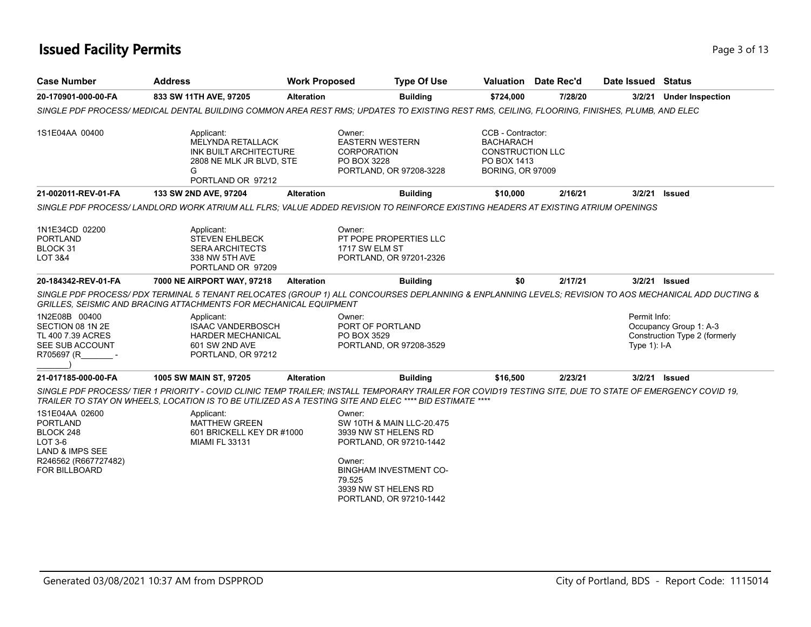# **Issued Facility Permits** Page 1 of 13

| <b>Case Number</b>                                                                                                           | <b>Work Proposed</b><br><b>Address</b>                                                                                                                                                                                                                             |                            | <b>Type Of Use</b>                                                                                                                                               |                                                                                                            | <b>Valuation</b> Date Rec'd | Date Issued Status             |                                                         |  |
|------------------------------------------------------------------------------------------------------------------------------|--------------------------------------------------------------------------------------------------------------------------------------------------------------------------------------------------------------------------------------------------------------------|----------------------------|------------------------------------------------------------------------------------------------------------------------------------------------------------------|------------------------------------------------------------------------------------------------------------|-----------------------------|--------------------------------|---------------------------------------------------------|--|
| 20-170901-000-00-FA                                                                                                          | 833 SW 11TH AVE, 97205                                                                                                                                                                                                                                             | <b>Alteration</b>          | <b>Building</b>                                                                                                                                                  | \$724,000                                                                                                  | 7/28/20                     | 3/2/21                         | <b>Under Inspection</b>                                 |  |
|                                                                                                                              | SINGLE PDF PROCESS/MEDICAL DENTAL BUILDING COMMON AREA REST RMS; UPDATES TO EXISTING REST RMS, CEILING, FLOORING, FINISHES, PLUMB, AND ELEC                                                                                                                        |                            |                                                                                                                                                                  |                                                                                                            |                             |                                |                                                         |  |
| 1S1E04AA 00400                                                                                                               | Applicant:<br><b>MELYNDA RETALLACK</b><br>INK BUILT ARCHITECTURE<br>2808 NE MLK JR BLVD, STE<br>G<br>PORTLAND OR 97212                                                                                                                                             | Owner:                     | <b>EASTERN WESTERN</b><br><b>CORPORATION</b><br>PO BOX 3228<br>PORTLAND, OR 97208-3228                                                                           | CCB - Contractor:<br><b>BACHARACH</b><br><b>CONSTRUCTION LLC</b><br>PO BOX 1413<br><b>BORING, OR 97009</b> |                             |                                |                                                         |  |
| 21-002011-REV-01-FA                                                                                                          | 133 SW 2ND AVE, 97204                                                                                                                                                                                                                                              | <b>Alteration</b>          | <b>Building</b>                                                                                                                                                  | \$10,000                                                                                                   | 2/16/21                     | 3/2/21                         | <b>Issued</b>                                           |  |
|                                                                                                                              | SINGLE PDF PROCESS/ LANDLORD WORK ATRIUM ALL FLRS: VALUE ADDED REVISION TO REINFORCE EXISTING HEADERS AT EXISTING ATRIUM OPENINGS                                                                                                                                  |                            |                                                                                                                                                                  |                                                                                                            |                             |                                |                                                         |  |
| 1N1E34CD 02200<br><b>PORTLAND</b><br>BLOCK 31<br><b>LOT 3&amp;4</b>                                                          | Applicant:<br><b>STEVEN EHLBECK</b><br><b>SERA ARCHITECTS</b><br>338 NW 5TH AVE<br>PORTLAND OR 97209                                                                                                                                                               | Owner:                     | PT POPE PROPERTIES LLC<br>1717 SW ELM ST<br>PORTLAND, OR 97201-2326                                                                                              |                                                                                                            |                             |                                |                                                         |  |
| 20-184342-REV-01-FA                                                                                                          | 7000 NE AIRPORT WAY, 97218                                                                                                                                                                                                                                         | <b>Alteration</b>          | <b>Building</b>                                                                                                                                                  | \$0                                                                                                        | 2/17/21                     |                                | 3/2/21 Issued                                           |  |
|                                                                                                                              | SINGLE PDF PROCESS/PDX TERMINAL 5 TENANT RELOCATES (GROUP 1) ALL CONCOURSES DEPLANNING & ENPLANNING LEVELS; REVISION TO AOS MECHANICAL ADD DUCTING &<br><b>GRILLES. SEISMIC AND BRACING ATTACHMENTS FOR MECHANICAL EQUIPMENT</b>                                   |                            |                                                                                                                                                                  |                                                                                                            |                             |                                |                                                         |  |
| 1N2E08B 00400<br>SECTION 08 1N 2E<br>TL 400 7.39 ACRES<br>SEE SUB ACCOUNT<br>R705697 (R                                      | Applicant:<br><b>ISAAC VANDERBOSCH</b><br><b>HARDER MECHANICAL</b><br>601 SW 2ND AVE<br>PORTLAND, OR 97212                                                                                                                                                         | Owner:                     | PORT OF PORTLAND<br>PO BOX 3529<br>PORTLAND, OR 97208-3529                                                                                                       |                                                                                                            |                             | Permit Info:<br>Type $1$ : I-A | Occupancy Group 1: A-3<br>Construction Type 2 (formerly |  |
| 21-017185-000-00-FA                                                                                                          | 1005 SW MAIN ST, 97205                                                                                                                                                                                                                                             | <b>Alteration</b>          | <b>Building</b>                                                                                                                                                  | \$16,500                                                                                                   | 2/23/21                     |                                | 3/2/21 <b>Issued</b>                                    |  |
|                                                                                                                              | SINGLE PDF PROCESS/TIER 1 PRIORITY - COVID CLINIC TEMP TRAILER; INSTALL TEMPORARY TRAILER FOR COVID19 TESTING SITE, DUE TO STATE OF EMERGENCY COVID 19,<br>TRAILER TO STAY ON WHEELS, LOCATION IS TO BE UTILIZED AS A TESTING SITE AND ELEC **** BID ESTIMATE **** |                            |                                                                                                                                                                  |                                                                                                            |                             |                                |                                                         |  |
| 1S1E04AA 02600<br><b>PORTLAND</b><br>BLOCK 248<br>LOT 3-6<br>LAND & IMPS SEE<br>R246562 (R667727482)<br><b>FOR BILLBOARD</b> | Applicant:<br><b>MATTHEW GREEN</b><br>601 BRICKELL KEY DR #1000<br><b>MIAMI FL 33131</b>                                                                                                                                                                           | Owner:<br>Owner:<br>79.525 | SW 10TH & MAIN LLC-20.475<br>3939 NW ST HELENS RD<br>PORTLAND, OR 97210-1442<br><b>BINGHAM INVESTMENT CO-</b><br>3939 NW ST HELENS RD<br>PORTLAND, OR 97210-1442 |                                                                                                            |                             |                                |                                                         |  |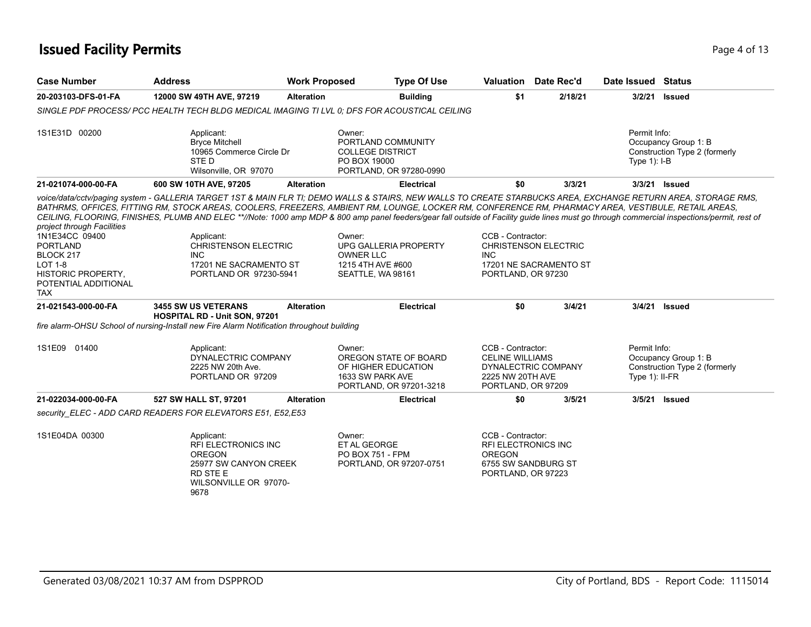# **Issued Facility Permits** Page 4 of 13

| <b>Case Number</b>                                                                                                                                                | <b>Address</b>                                                                                                                                                                                                                                                                                                                                                                                                                                                                                                                                                                                                                      | <b>Work Proposed</b> |                                                                                                       | <b>Type Of Use</b> | Valuation                                                                                                     | Date Rec'd                                            | Date Issued Status               |                                                       |
|-------------------------------------------------------------------------------------------------------------------------------------------------------------------|-------------------------------------------------------------------------------------------------------------------------------------------------------------------------------------------------------------------------------------------------------------------------------------------------------------------------------------------------------------------------------------------------------------------------------------------------------------------------------------------------------------------------------------------------------------------------------------------------------------------------------------|----------------------|-------------------------------------------------------------------------------------------------------|--------------------|---------------------------------------------------------------------------------------------------------------|-------------------------------------------------------|----------------------------------|-------------------------------------------------------|
| 20-203103-DFS-01-FA                                                                                                                                               | 12000 SW 49TH AVE, 97219                                                                                                                                                                                                                                                                                                                                                                                                                                                                                                                                                                                                            | <b>Alteration</b>    |                                                                                                       | <b>Building</b>    | \$1                                                                                                           | 2/18/21                                               | 3/2/21                           | <b>Issued</b>                                         |
|                                                                                                                                                                   | SINGLE PDF PROCESS/ PCC HEALTH TECH BLDG MEDICAL IMAGING TI LVL 0: DFS FOR ACOUSTICAL CEILING                                                                                                                                                                                                                                                                                                                                                                                                                                                                                                                                       |                      |                                                                                                       |                    |                                                                                                               |                                                       |                                  |                                                       |
| 1S1E31D 00200                                                                                                                                                     | Applicant:<br><b>Bryce Mitchell</b><br>10965 Commerce Circle Dr<br>STE D<br>Wilsonville, OR 97070                                                                                                                                                                                                                                                                                                                                                                                                                                                                                                                                   |                      | Owner:<br>PORTLAND COMMUNITY<br><b>COLLEGE DISTRICT</b><br>PO BOX 19000<br>PORTLAND, OR 97280-0990    |                    |                                                                                                               |                                                       | Permit Info:<br>Type $1$ : I-B   | Occupancy Group 1: B<br>Construction Type 2 (formerly |
| 21-021074-000-00-FA                                                                                                                                               | 600 SW 10TH AVE, 97205                                                                                                                                                                                                                                                                                                                                                                                                                                                                                                                                                                                                              | <b>Alteration</b>    |                                                                                                       | <b>Electrical</b>  | \$0                                                                                                           | 3/3/21                                                |                                  | 3/3/21 Issued                                         |
| project through Facilities<br>1N1E34CC 09400<br><b>PORTLAND</b><br>BLOCK 217<br><b>LOT 1-8</b><br><b>HISTORIC PROPERTY,</b><br>POTENTIAL ADDITIONAL<br><b>TAX</b> | voice/data/cctv/paging system - GALLERIA TARGET 1ST & MAIN FLR TI; DEMO WALLS & STAIRS, NEW WALLS TO CREATE STARBUCKS AREA, EXCHANGE RETURN AREA, STORAGE RMS,<br>BATHRMS, OFFICES, FITTING RM, STOCK AREAS, COOLERS, FREEZERS, AMBIENT RM, LOUNGE, LOCKER RM, CONFERENCE RM, PHARMACY AREA, VESTIBULE, RETAIL AREAS,<br>CEILING, FLOORING, FINISHES, PLUMB AND ELEC **//Note: 1000 amp MDP & 800 amp panel feeders/gear fall outside of Facility guide lines must go through commercial inspections/permit, rest of<br>Applicant:<br><b>CHRISTENSON ELECTRIC</b><br><b>INC</b><br>17201 NE SACRAMENTO ST<br>PORTLAND OR 97230-5941 |                      | Owner:<br>UPG GALLERIA PROPERTY<br>OWNER LLC<br>1215 4TH AVE #600<br>SEATTLE, WA 98161                |                    | CCB - Contractor:<br><b>INC</b><br>PORTLAND, OR 97230                                                         | <b>CHRISTENSON ELECTRIC</b><br>17201 NE SACRAMENTO ST |                                  |                                                       |
| 21-021543-000-00-FA                                                                                                                                               | <b>3455 SW US VETERANS</b><br>HOSPITAL RD - Unit SON, 97201                                                                                                                                                                                                                                                                                                                                                                                                                                                                                                                                                                         | <b>Alteration</b>    |                                                                                                       | <b>Electrical</b>  | \$0                                                                                                           | 3/4/21                                                |                                  | 3/4/21 Issued                                         |
|                                                                                                                                                                   | fire alarm-OHSU School of nursing-Install new Fire Alarm Notification throughout building                                                                                                                                                                                                                                                                                                                                                                                                                                                                                                                                           |                      |                                                                                                       |                    |                                                                                                               |                                                       |                                  |                                                       |
| 1S1E09 01400                                                                                                                                                      | Applicant:<br>DYNALECTRIC COMPANY<br>2225 NW 20th Ave.<br>PORTLAND OR 97209                                                                                                                                                                                                                                                                                                                                                                                                                                                                                                                                                         |                      | Owner:<br>OREGON STATE OF BOARD<br>OF HIGHER EDUCATION<br>1633 SW PARK AVE<br>PORTLAND, OR 97201-3218 |                    | CCB - Contractor:<br><b>CELINE WILLIAMS</b><br>2225 NW 20TH AVE<br>PORTLAND, OR 97209                         | DYNALECTRIC COMPANY                                   | Permit Info:<br>Type $1$ : II-FR | Occupancy Group 1: B<br>Construction Type 2 (formerly |
| 21-022034-000-00-FA                                                                                                                                               | 527 SW HALL ST, 97201                                                                                                                                                                                                                                                                                                                                                                                                                                                                                                                                                                                                               | <b>Alteration</b>    |                                                                                                       | <b>Electrical</b>  | \$0                                                                                                           | 3/5/21                                                |                                  | 3/5/21 Issued                                         |
|                                                                                                                                                                   | security ELEC - ADD CARD READERS FOR ELEVATORS E51, E52, E53                                                                                                                                                                                                                                                                                                                                                                                                                                                                                                                                                                        |                      |                                                                                                       |                    |                                                                                                               |                                                       |                                  |                                                       |
| 1S1E04DA 00300                                                                                                                                                    | Applicant:<br>RFI ELECTRONICS INC<br><b>OREGON</b><br>25977 SW CANYON CREEK<br><b>RD STEE</b><br>WILSONVILLE OR 97070-<br>9678                                                                                                                                                                                                                                                                                                                                                                                                                                                                                                      |                      | Owner:<br>ET AL GEORGE<br><b>PO BOX 751 - FPM</b><br>PORTLAND, OR 97207-0751                          |                    | CCB - Contractor:<br><b>RFI ELECTRONICS INC</b><br><b>OREGON</b><br>6755 SW SANDBURG ST<br>PORTLAND, OR 97223 |                                                       |                                  |                                                       |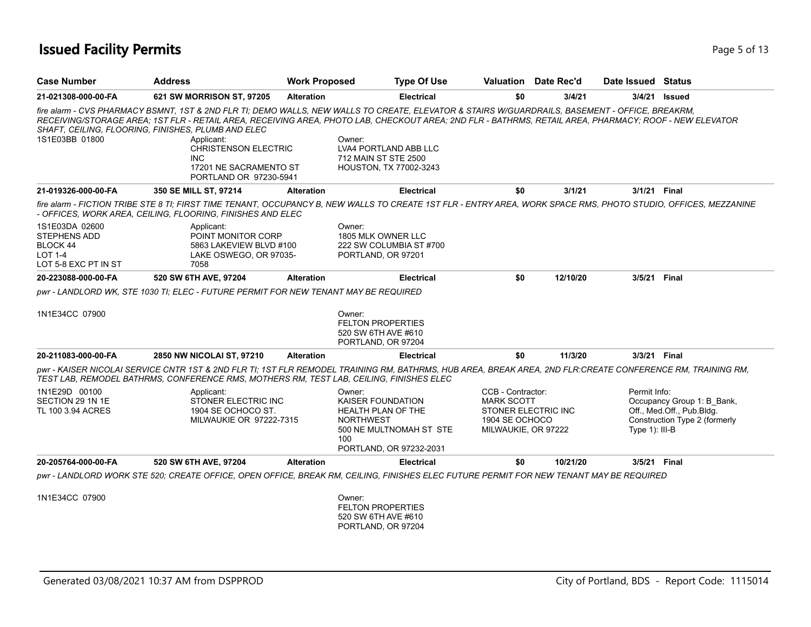# **Issued Facility Permits** Page 1 3 and 200 **Page 5 of 13**

| <b>Case Number</b>                                                                   | <b>Address</b>                                                                                                                                                                                                                                                                                                                                                                                                                                                           | <b>Work Proposed</b> |                                                                                            | <b>Type Of Use</b>                                 |                                                                                                        | Valuation Date Rec'd | Date Issued Status                |                                                                                          |
|--------------------------------------------------------------------------------------|--------------------------------------------------------------------------------------------------------------------------------------------------------------------------------------------------------------------------------------------------------------------------------------------------------------------------------------------------------------------------------------------------------------------------------------------------------------------------|----------------------|--------------------------------------------------------------------------------------------|----------------------------------------------------|--------------------------------------------------------------------------------------------------------|----------------------|-----------------------------------|------------------------------------------------------------------------------------------|
| 21-021308-000-00-FA                                                                  | 621 SW MORRISON ST, 97205                                                                                                                                                                                                                                                                                                                                                                                                                                                | <b>Alteration</b>    |                                                                                            | <b>Electrical</b>                                  | \$0                                                                                                    | 3/4/21               |                                   | 3/4/21 <b>Issued</b>                                                                     |
| 1S1E03BB 01800                                                                       | fire alarm - CVS PHARMACY BSMNT, 1ST & 2ND FLR TI; DEMO WALLS, NEW WALLS TO CREATE, ELEVATOR & STAIRS W/GUARDRAILS, BASEMENT - OFFICE, BREAKRM,<br>RECEIVING/STORAGE AREA: 1ST FLR - RETAIL AREA. RECEIVING AREA. PHOTO LAB. CHECKOUT AREA: 2ND FLR - BATHRMS, RETAIL AREA, PHARMACY: ROOF - NEW ELEVATOR<br>SHAFT, CEILING, FLOORING, FINISHES, PLUMB AND ELEC<br>Applicant:<br><b>CHRISTENSON ELECTRIC</b><br>INC.<br>17201 NE SACRAMENTO ST<br>PORTLAND OR 97230-5941 |                      | Owner:<br>LVA4 PORTLAND ABB LLC<br>712 MAIN ST STE 2500<br>HOUSTON, TX 77002-3243          |                                                    |                                                                                                        |                      |                                   |                                                                                          |
| 21-019326-000-00-FA                                                                  | 350 SE MILL ST, 97214                                                                                                                                                                                                                                                                                                                                                                                                                                                    | <b>Alteration</b>    |                                                                                            | <b>Electrical</b>                                  | \$0                                                                                                    | 3/1/21               | 3/1/21 Final                      |                                                                                          |
| 1S1E03DA 02600<br>STEPHENS ADD<br>BLOCK 44<br><b>LOT 1-4</b><br>LOT 5-8 EXC PT IN ST | fire alarm - FICTION TRIBE STE 8 TI; FIRST TIME TENANT, OCCUPANCY B, NEW WALLS TO CREATE 1ST FLR - ENTRY AREA, WORK SPACE RMS, PHOTO STUDIO, OFFICES, MEZZANINE<br>- OFFICES, WORK AREA, CEILING, FLOORING, FINISHES AND ELEC<br>Applicant:<br>POINT MONITOR CORP<br>5863 LAKEVIEW BLVD #100<br>LAKE OSWEGO, OR 97035-<br>7058                                                                                                                                           |                      | Owner:<br>1805 MLK OWNER LLC<br>PORTLAND, OR 97201                                         | 222 SW COLUMBIA ST #700                            |                                                                                                        |                      |                                   |                                                                                          |
| 20-223088-000-00-FA                                                                  | 520 SW 6TH AVE, 97204                                                                                                                                                                                                                                                                                                                                                                                                                                                    | <b>Alteration</b>    |                                                                                            | <b>Electrical</b>                                  | \$0                                                                                                    | 12/10/20             | 3/5/21                            | <b>Final</b>                                                                             |
|                                                                                      | pwr - LANDLORD WK, STE 1030 TI; ELEC - FUTURE PERMIT FOR NEW TENANT MAY BE REQUIRED                                                                                                                                                                                                                                                                                                                                                                                      |                      |                                                                                            |                                                    |                                                                                                        |                      |                                   |                                                                                          |
| 1N1E34CC 07900                                                                       |                                                                                                                                                                                                                                                                                                                                                                                                                                                                          |                      | Owner:<br><b>FELTON PROPERTIES</b><br>520 SW 6TH AVE #610<br>PORTLAND, OR 97204            |                                                    |                                                                                                        |                      |                                   |                                                                                          |
| 20-211083-000-00-FA                                                                  | 2850 NW NICOLAI ST, 97210                                                                                                                                                                                                                                                                                                                                                                                                                                                | <b>Alteration</b>    |                                                                                            | <b>Electrical</b>                                  | \$0                                                                                                    | 11/3/20              | 3/3/21 Final                      |                                                                                          |
|                                                                                      | pwr - KAISER NICOLAI SERVICE CNTR 1ST & 2ND FLR TI; 1ST FLR REMODEL TRAINING RM, BATHRMS, HUB AREA, BREAK AREA, 2ND FLR:CREATE CONFERENCE RM, TRAINING RM,<br>TEST LAB, REMODEL BATHRMS, CONFERENCE RMS, MOTHERS RM, TEST LAB, CEILING, FINISHES ELEC                                                                                                                                                                                                                    |                      |                                                                                            |                                                    |                                                                                                        |                      |                                   |                                                                                          |
| 1N1E29D 00100<br>SECTION 29 1N 1E<br>TL 100 3.94 ACRES                               | Applicant:<br>STONER ELECTRIC INC<br>1904 SE OCHOCO ST.<br>MILWAUKIE OR 97222-7315                                                                                                                                                                                                                                                                                                                                                                                       |                      | Owner:<br><b>KAISER FOUNDATION</b><br><b>HEALTH PLAN OF THE</b><br><b>NORTHWEST</b><br>100 | 500 NE MULTNOMAH ST STE<br>PORTLAND, OR 97232-2031 | CCB - Contractor:<br><b>MARK SCOTT</b><br>STONER ELECTRIC INC<br>1904 SE OCHOCO<br>MILWAUKIE, OR 97222 |                      | Permit Info:<br>Type $1$ ): III-B | Occupancy Group 1: B Bank,<br>Off., Med.Off., Pub.Bldg.<br>Construction Type 2 (formerly |
| 20-205764-000-00-FA                                                                  | 520 SW 6TH AVE, 97204                                                                                                                                                                                                                                                                                                                                                                                                                                                    | <b>Alteration</b>    |                                                                                            | <b>Electrical</b>                                  | \$0                                                                                                    | 10/21/20             | 3/5/21 Final                      |                                                                                          |
|                                                                                      | pwr - LANDLORD WORK STE 520; CREATE OFFICE, OPEN OFFICE, BREAK RM, CEILING, FINISHES ELEC FUTURE PERMIT FOR NEW TENANT MAY BE REQUIRED                                                                                                                                                                                                                                                                                                                                   |                      |                                                                                            |                                                    |                                                                                                        |                      |                                   |                                                                                          |
| 1N1E34CC 07900                                                                       |                                                                                                                                                                                                                                                                                                                                                                                                                                                                          |                      | Owner:<br><b>FELTON PROPERTIES</b><br>520 SW 6TH AVE #610                                  |                                                    |                                                                                                        |                      |                                   |                                                                                          |

PORTLAND, OR 97204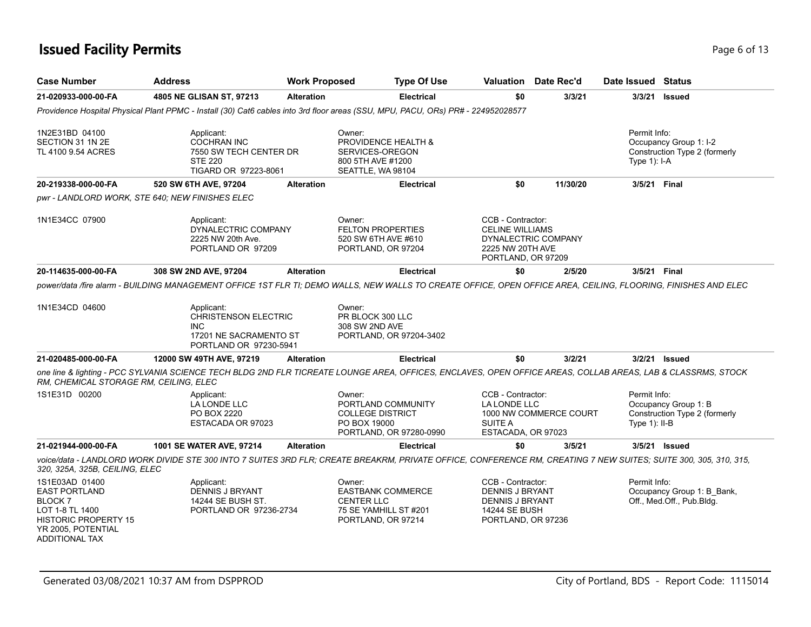# **Issued Facility Permits** Page 6 of 13

| <b>Case Number</b>                                                                                                                                 | <b>Address</b>                                                                                                                                                   | <b>Work Proposed</b> |                                                                                                        | <b>Type Of Use</b> |                                                                                                              | Valuation Date Rec'd   | Date Issued Status              |                                                         |
|----------------------------------------------------------------------------------------------------------------------------------------------------|------------------------------------------------------------------------------------------------------------------------------------------------------------------|----------------------|--------------------------------------------------------------------------------------------------------|--------------------|--------------------------------------------------------------------------------------------------------------|------------------------|---------------------------------|---------------------------------------------------------|
| 21-020933-000-00-FA                                                                                                                                | 4805 NE GLISAN ST, 97213                                                                                                                                         | <b>Alteration</b>    |                                                                                                        | <b>Electrical</b>  | \$0                                                                                                          | 3/3/21                 | 3/3/21                          | <b>Issued</b>                                           |
|                                                                                                                                                    | Providence Hospital Physical Plant PPMC - Install (30) Cat6 cables into 3rd floor areas (SSU, MPU, PACU, ORs) PR# - 224952028577                                 |                      |                                                                                                        |                    |                                                                                                              |                        |                                 |                                                         |
| 1N2E31BD 04100<br>SECTION 31 1N 2E<br>TL 4100 9.54 ACRES                                                                                           | Applicant:<br><b>COCHRAN INC</b><br>7550 SW TECH CENTER DR<br><b>STE 220</b><br>TIGARD OR 97223-8061                                                             |                      | Owner:<br>PROVIDENCE HEALTH &<br>SERVICES-OREGON<br>800 5TH AVE #1200<br>SEATTLE, WA 98104             |                    |                                                                                                              |                        | Permit Info:<br>Type 1): I-A    | Occupancy Group 1: I-2<br>Construction Type 2 (formerly |
| 20-219338-000-00-FA                                                                                                                                | 520 SW 6TH AVE, 97204                                                                                                                                            | <b>Alteration</b>    |                                                                                                        | <b>Electrical</b>  | \$0                                                                                                          | 11/30/20               | 3/5/21 Final                    |                                                         |
|                                                                                                                                                    | pwr - LANDLORD WORK, STE 640; NEW FINISHES ELEC                                                                                                                  |                      |                                                                                                        |                    |                                                                                                              |                        |                                 |                                                         |
| 1N1E34CC 07900                                                                                                                                     | Applicant:<br>DYNALECTRIC COMPANY<br>2225 NW 20th Ave.<br>PORTLAND OR 97209                                                                                      |                      | Owner:<br><b>FELTON PROPERTIES</b><br>520 SW 6TH AVE #610<br>PORTLAND, OR 97204                        |                    | CCB - Contractor:<br><b>CELINE WILLIAMS</b><br>2225 NW 20TH AVE<br>PORTLAND, OR 97209                        | DYNALECTRIC COMPANY    |                                 |                                                         |
| 20-114635-000-00-FA                                                                                                                                | 308 SW 2ND AVE, 97204                                                                                                                                            | <b>Alteration</b>    |                                                                                                        | <b>Electrical</b>  | \$0                                                                                                          | 2/5/20                 | 3/5/21 Final                    |                                                         |
| 1N1E34CD 04600                                                                                                                                     | Applicant:<br><b>CHRISTENSON ELECTRIC</b><br>INC.<br>17201 NE SACRAMENTO ST<br>PORTLAND OR 97230-5941                                                            |                      | Owner:<br>PR BLOCK 300 LLC<br>308 SW 2ND AVE<br>PORTLAND, OR 97204-3402                                |                    |                                                                                                              |                        |                                 |                                                         |
| 21-020485-000-00-FA                                                                                                                                | 12000 SW 49TH AVE, 97219                                                                                                                                         | <b>Alteration</b>    |                                                                                                        | <b>Electrical</b>  | \$0                                                                                                          | 3/2/21                 | 3/2/21                          | <b>Issued</b>                                           |
| RM, CHEMICAL STORAGE RM, CEILING, ELEC                                                                                                             | one line & lighting - PCC SYLVANIA SCIENCE TECH BLDG 2ND FLR TICREATE LOUNGE AREA, OFFICES, ENCLAVES, OPEN OFFICE AREAS, COLLAB AREAS, LAB & CLASSRMS, STOCK     |                      |                                                                                                        |                    |                                                                                                              |                        |                                 |                                                         |
| 1S1E31D 00200                                                                                                                                      | Applicant:<br>LA LONDE LLC<br>PO BOX 2220<br>ESTACADA OR 97023                                                                                                   |                      | Owner:<br>PORTLAND COMMUNITY<br><b>COLLEGE DISTRICT</b><br>PO BOX 19000<br>PORTLAND, OR 97280-0990     |                    | CCB - Contractor:<br>LA LONDE LLC<br>SUITE A<br>ESTACADA, OR 97023                                           | 1000 NW COMMERCE COURT | Permit Info:<br>Type $1$ : II-B | Occupancy Group 1: B<br>Construction Type 2 (formerly   |
| 21-021944-000-00-FA                                                                                                                                | 1001 SE WATER AVE, 97214                                                                                                                                         | <b>Alteration</b>    |                                                                                                        | <b>Electrical</b>  | \$0                                                                                                          | 3/5/21                 |                                 | 3/5/21 Issued                                           |
| 320, 325A, 325B, CEILING, ELEC                                                                                                                     | voice/data - LANDLORD WORK DIVIDE STE 300 INTO 7 SUITES 3RD FLR; CREATE BREAKRM, PRIVATE OFFICE, CONFERENCE RM, CREATING 7 NEW SUITES; SUITE 300, 305, 310, 315, |                      |                                                                                                        |                    |                                                                                                              |                        |                                 |                                                         |
| 1S1E03AD 01400<br><b>EAST PORTLAND</b><br>BLOCK 7<br>LOT 1-8 TL 1400<br><b>HISTORIC PROPERTY 15</b><br>YR 2005, POTENTIAL<br><b>ADDITIONAL TAX</b> | Applicant:<br><b>DENNIS J BRYANT</b><br>14244 SE BUSH ST.<br>PORTLAND OR 97236-2734                                                                              |                      | Owner:<br><b>EASTBANK COMMERCE</b><br><b>CENTER LLC</b><br>75 SE YAMHILL ST #201<br>PORTLAND, OR 97214 |                    | CCB - Contractor:<br><b>DENNIS J BRYANT</b><br>DENNIS J BRYANT<br><b>14244 SE BUSH</b><br>PORTLAND, OR 97236 |                        | Permit Info:                    | Occupancy Group 1: B Bank,<br>Off., Med.Off., Pub.Bldg. |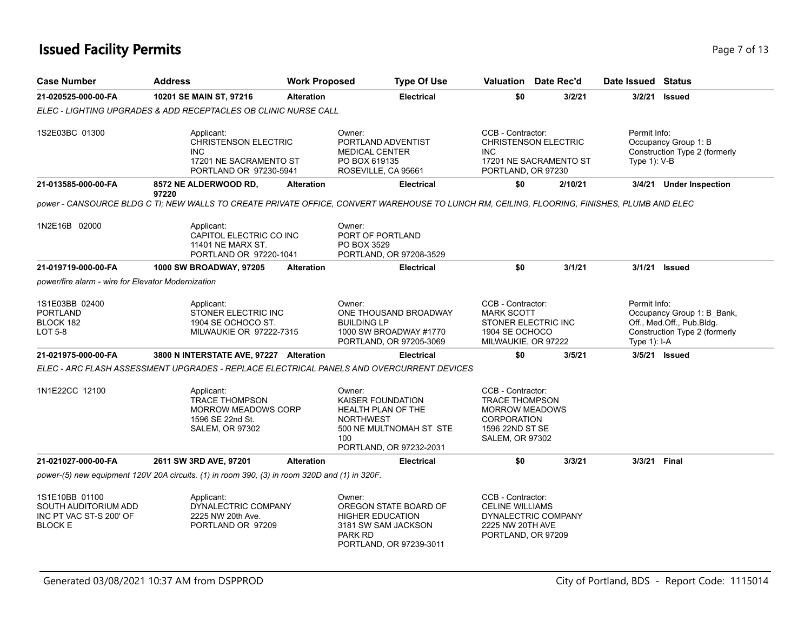# **Issued Facility Permits** Page 7 of 13

| <b>Case Number</b>                                                                  | <b>Address</b>                                                                                                                              | <b>Work Proposed</b> | <b>Type Of Use</b>                                                                                                                 | Valuation Date Rec'd                                                                                                            |                        | Date Issued Status           |                                                                                          |
|-------------------------------------------------------------------------------------|---------------------------------------------------------------------------------------------------------------------------------------------|----------------------|------------------------------------------------------------------------------------------------------------------------------------|---------------------------------------------------------------------------------------------------------------------------------|------------------------|------------------------------|------------------------------------------------------------------------------------------|
| 21-020525-000-00-FA                                                                 | 10201 SE MAIN ST, 97216                                                                                                                     | <b>Alteration</b>    | <b>Electrical</b>                                                                                                                  | \$0                                                                                                                             | 3/2/21                 |                              | 3/2/21 Issued                                                                            |
|                                                                                     | ELEC - LIGHTING UPGRADES & ADD RECEPTACLES OB CLINIC NURSE CALL                                                                             |                      |                                                                                                                                    |                                                                                                                                 |                        |                              |                                                                                          |
| 1S2E03BC 01300                                                                      | Applicant:<br><b>CHRISTENSON ELECTRIC</b><br><b>INC</b><br>17201 NE SACRAMENTO ST<br>PORTLAND OR 97230-5941                                 |                      | Owner:<br>PORTLAND ADVENTIST<br><b>MEDICAL CENTER</b><br>PO BOX 619135<br>ROSEVILLE, CA 95661                                      | CCB - Contractor:<br><b>CHRISTENSON ELECTRIC</b><br><b>INC</b><br>PORTLAND, OR 97230                                            | 17201 NE SACRAMENTO ST | Permit Info:<br>Type 1): V-B | Occupancy Group 1: B<br>Construction Type 2 (formerly                                    |
| 21-013585-000-00-FA                                                                 | 8572 NE ALDERWOOD RD,<br>97220                                                                                                              | <b>Alteration</b>    | <b>Electrical</b>                                                                                                                  | \$0                                                                                                                             | 2/10/21                |                              | 3/4/21 Under Inspection                                                                  |
|                                                                                     | power - CANSOURCE BLDG C TI; NEW WALLS TO CREATE PRIVATE OFFICE, CONVERT WAREHOUSE TO LUNCH RM, CEILING, FLOORING, FINISHES, PLUMB AND ELEC |                      |                                                                                                                                    |                                                                                                                                 |                        |                              |                                                                                          |
| 1N2E16B 02000                                                                       | Applicant:<br>CAPITOL ELECTRIC CO INC<br>11401 NE MARX ST.<br>PORTLAND OR 97220-1041                                                        |                      | Owner:<br>PORT OF PORTLAND<br>PO BOX 3529<br>PORTLAND, OR 97208-3529                                                               |                                                                                                                                 |                        |                              |                                                                                          |
| 21-019719-000-00-FA                                                                 | <b>1000 SW BROADWAY, 97205</b>                                                                                                              | <b>Alteration</b>    | <b>Electrical</b>                                                                                                                  | \$0                                                                                                                             | 3/1/21                 | 3/1/21                       | <b>Issued</b>                                                                            |
| power/fire alarm - wire for Elevator Modernization                                  |                                                                                                                                             |                      |                                                                                                                                    |                                                                                                                                 |                        |                              |                                                                                          |
| 1S1E03BB 02400<br><b>PORTLAND</b><br>BLOCK 182<br><b>LOT 5-8</b>                    | Applicant:<br>STONER ELECTRIC INC<br>1904 SE OCHOCO ST.<br>MILWAUKIE OR 97222-7315                                                          |                      | Owner:<br>ONE THOUSAND BROADWAY<br><b>BUILDING LP</b><br>1000 SW BROADWAY #1770<br>PORTLAND, OR 97205-3069                         | CCB - Contractor:<br><b>MARK SCOTT</b><br>STONER ELECTRIC INC<br>1904 SE OCHOCO<br>MILWAUKIE, OR 97222                          |                        | Permit Info:<br>Type 1): I-A | Occupancy Group 1: B_Bank,<br>Off., Med.Off., Pub.Bldg.<br>Construction Type 2 (formerly |
| 21-021975-000-00-FA                                                                 | 3800 N INTERSTATE AVE, 97227 Alteration                                                                                                     |                      | <b>Electrical</b>                                                                                                                  | \$0                                                                                                                             | 3/5/21                 |                              | 3/5/21 Issued                                                                            |
|                                                                                     | ELEC - ARC FLASH ASSESSMENT UPGRADES - REPLACE ELECTRICAL PANELS AND OVERCURRENT DEVICES                                                    |                      |                                                                                                                                    |                                                                                                                                 |                        |                              |                                                                                          |
| 1N1E22CC 12100                                                                      | Applicant:<br><b>TRACE THOMPSON</b><br><b>MORROW MEADOWS CORP</b><br>1596 SE 22nd St.<br><b>SALEM, OR 97302</b>                             |                      | Owner:<br>KAISER FOUNDATION<br>HEALTH PLAN OF THE<br><b>NORTHWEST</b><br>500 NE MULTNOMAH ST STE<br>100<br>PORTLAND, OR 97232-2031 | CCB - Contractor:<br><b>TRACE THOMPSON</b><br><b>MORROW MEADOWS</b><br><b>CORPORATION</b><br>1596 22ND ST SE<br>SALEM, OR 97302 |                        |                              |                                                                                          |
| 21-021027-000-00-FA                                                                 | 2611 SW 3RD AVE, 97201                                                                                                                      | <b>Alteration</b>    | <b>Electrical</b>                                                                                                                  | \$0                                                                                                                             | 3/3/21                 | 3/3/21 Final                 |                                                                                          |
|                                                                                     | power-(5) new equipment 120V 20A circuits. (1) in room 390, (3) in room 320D and (1) in 320F.                                               |                      |                                                                                                                                    |                                                                                                                                 |                        |                              |                                                                                          |
| 1S1E10BB 01100<br>SOUTH AUDITORIUM ADD<br>INC PT VAC ST-S 200' OF<br><b>BLOCK E</b> | Applicant:<br>DYNALECTRIC COMPANY<br>2225 NW 20th Ave.<br>PORTLAND OR 97209                                                                 |                      | Owner:<br>OREGON STATE BOARD OF<br><b>HIGHER EDUCATION</b><br>3181 SW SAM JACKSON<br>PARK RD<br>PORTLAND, OR 97239-3011            | CCB - Contractor:<br><b>CELINE WILLIAMS</b><br>DYNALECTRIC COMPANY<br>2225 NW 20TH AVE<br>PORTLAND, OR 97209                    |                        |                              |                                                                                          |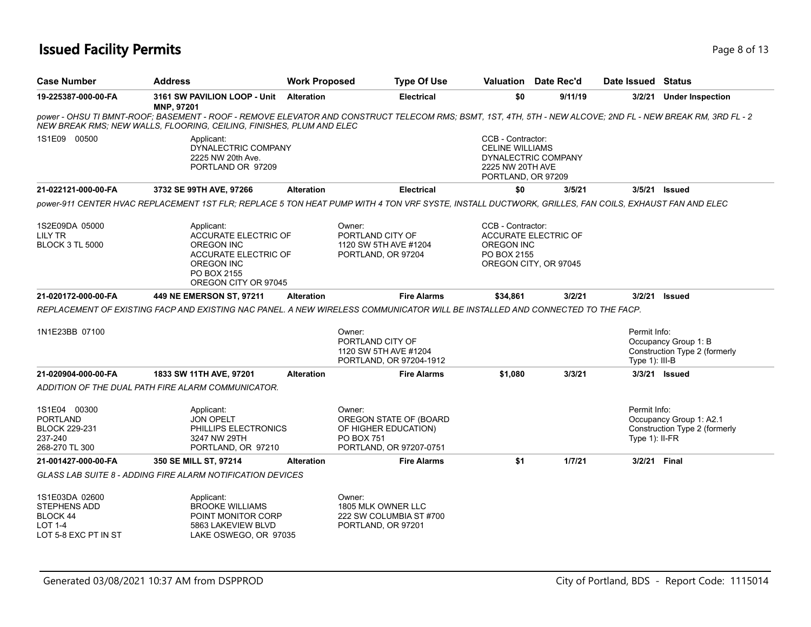# **Issued Facility Permits** Page 8 of 13

| <b>Case Number</b>                                                                          | <b>Address</b>                                                                                                                                                                                                                      | <b>Work Proposed</b> | <b>Type Of Use</b>                                                                                       | Valuation                                                                             | Date Rec'd                                           | Date Issued Status                |                                                          |
|---------------------------------------------------------------------------------------------|-------------------------------------------------------------------------------------------------------------------------------------------------------------------------------------------------------------------------------------|----------------------|----------------------------------------------------------------------------------------------------------|---------------------------------------------------------------------------------------|------------------------------------------------------|-----------------------------------|----------------------------------------------------------|
| 19-225387-000-00-FA                                                                         | 3161 SW PAVILION LOOP - Unit<br><b>MNP, 97201</b>                                                                                                                                                                                   | <b>Alteration</b>    | <b>Electrical</b>                                                                                        | \$0                                                                                   | 9/11/19                                              |                                   | 3/2/21 Under Inspection                                  |
|                                                                                             | power - OHSU TI BMNT-ROOF; BASEMENT - ROOF - REMOVE ELEVATOR AND CONSTRUCT TELECOM RMS; BSMT, 1ST, 4TH, 5TH - NEW ALCOVE; 2ND FL - NEW BREAK RM, 3RD FL - 2<br>NEW BREAK RMS; NEW WALLS, FLOORING, CEILING, FINISHES, PLUM AND ELEC |                      |                                                                                                          |                                                                                       |                                                      |                                   |                                                          |
| 1S1E09 00500                                                                                | Applicant:<br>DYNALECTRIC COMPANY<br>2225 NW 20th Ave.<br>PORTLAND OR 97209                                                                                                                                                         |                      |                                                                                                          | CCB - Contractor:<br><b>CELINE WILLIAMS</b><br>2225 NW 20TH AVE<br>PORTLAND, OR 97209 | DYNALECTRIC COMPANY                                  |                                   |                                                          |
| 21-022121-000-00-FA                                                                         | 3732 SE 99TH AVE, 97266                                                                                                                                                                                                             | <b>Alteration</b>    | <b>Electrical</b>                                                                                        | \$0                                                                                   | 3/5/21                                               |                                   | 3/5/21 Issued                                            |
|                                                                                             | power-911 CENTER HVAC REPLACEMENT 1ST FLR; REPLACE 5 TON HEAT PUMP WITH 4 TON VRF SYSTE, INSTALL DUCTWORK, GRILLES, FAN COILS, EXHAUST FAN AND ELEC                                                                                 |                      |                                                                                                          |                                                                                       |                                                      |                                   |                                                          |
| 1S2E09DA 05000<br>LILY TR<br><b>BLOCK 3 TL 5000</b>                                         | Applicant:<br>ACCURATE ELECTRIC OF<br><b>OREGON INC</b><br><b>ACCURATE ELECTRIC OF</b><br><b>OREGON INC</b><br>PO BOX 2155<br>OREGON CITY OR 97045                                                                                  |                      | Owner:<br>PORTLAND CITY OF<br>1120 SW 5TH AVE #1204<br>PORTLAND, OR 97204                                | CCB - Contractor:<br><b>OREGON INC</b><br>PO BOX 2155                                 | <b>ACCURATE ELECTRIC OF</b><br>OREGON CITY, OR 97045 |                                   |                                                          |
| 21-020172-000-00-FA                                                                         | 449 NE EMERSON ST, 97211                                                                                                                                                                                                            | <b>Alteration</b>    | <b>Fire Alarms</b>                                                                                       | \$34,861                                                                              | 3/2/21                                               |                                   | 3/2/21 Issued                                            |
|                                                                                             | REPLACEMENT OF EXISTING FACP AND EXISTING NAC PANEL. A NEW WIRELESS COMMUNICATOR WILL BE INSTALLED AND CONNECTED TO THE FACP.                                                                                                       |                      |                                                                                                          |                                                                                       |                                                      |                                   |                                                          |
| 1N1E23BB 07100                                                                              |                                                                                                                                                                                                                                     |                      | Owner:<br>PORTLAND CITY OF<br>1120 SW 5TH AVE #1204<br>PORTLAND, OR 97204-1912                           |                                                                                       |                                                      | Permit Info:<br>Type 1): III-B    | Occupancy Group 1: B<br>Construction Type 2 (formerly    |
| 21-020904-000-00-FA                                                                         | 1833 SW 11TH AVE, 97201                                                                                                                                                                                                             | <b>Alteration</b>    | <b>Fire Alarms</b>                                                                                       | \$1,080                                                                               | 3/3/21                                               |                                   | 3/3/21 <b>Issued</b>                                     |
|                                                                                             | ADDITION OF THE DUAL PATH FIRE ALARM COMMUNICATOR.                                                                                                                                                                                  |                      |                                                                                                          |                                                                                       |                                                      |                                   |                                                          |
| 1S1E04 00300<br><b>PORTLAND</b><br><b>BLOCK 229-231</b><br>237-240<br>268-270 TL 300        | Applicant:<br><b>JON OPELT</b><br>PHILLIPS ELECTRONICS<br>3247 NW 29TH<br>PORTLAND, OR 97210                                                                                                                                        |                      | Owner:<br>OREGON STATE OF (BOARD<br>OF HIGHER EDUCATION)<br><b>PO BOX 751</b><br>PORTLAND, OR 97207-0751 |                                                                                       |                                                      | Permit Info:<br>Type $1$ ): II-FR | Occupancy Group 1: A2.1<br>Construction Type 2 (formerly |
| 21-001427-000-00-FA                                                                         | 350 SE MILL ST, 97214                                                                                                                                                                                                               | <b>Alteration</b>    | <b>Fire Alarms</b>                                                                                       | \$1                                                                                   | 1/7/21                                               | 3/2/21 Final                      |                                                          |
|                                                                                             | <b>GLASS LAB SUITE 8 - ADDING FIRE ALARM NOTIFICATION DEVICES</b>                                                                                                                                                                   |                      |                                                                                                          |                                                                                       |                                                      |                                   |                                                          |
| 1S1E03DA 02600<br><b>STEPHENS ADD</b><br>BLOCK 44<br><b>LOT 1-4</b><br>LOT 5-8 EXC PT IN ST | Applicant:<br><b>BROOKE WILLIAMS</b><br>POINT MONITOR CORP<br>5863 LAKEVIEW BLVD<br>LAKE OSWEGO, OR 97035                                                                                                                           |                      | Owner:<br>1805 MLK OWNER LLC<br>222 SW COLUMBIA ST #700<br>PORTLAND, OR 97201                            |                                                                                       |                                                      |                                   |                                                          |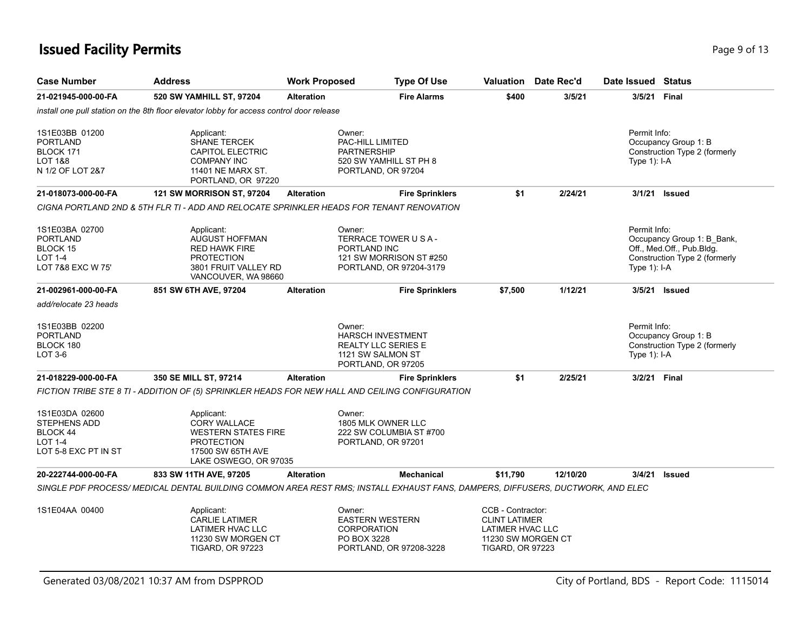# **Issued Facility Permits** Page 13 **Page 9 of 13**

| <b>Case Number</b>                                                                          | <b>Address</b>                                                                                                                     | <b>Work Proposed</b> | <b>Type Of Use</b>                                                                                          |                                                                                                                | <b>Valuation</b> Date Rec'd | Date Issued Status                                                                                                       |
|---------------------------------------------------------------------------------------------|------------------------------------------------------------------------------------------------------------------------------------|----------------------|-------------------------------------------------------------------------------------------------------------|----------------------------------------------------------------------------------------------------------------|-----------------------------|--------------------------------------------------------------------------------------------------------------------------|
| 21-021945-000-00-FA                                                                         | 520 SW YAMHILL ST, 97204                                                                                                           | <b>Alteration</b>    | <b>Fire Alarms</b>                                                                                          | \$400                                                                                                          | 3/5/21                      | 3/5/21<br>Final                                                                                                          |
|                                                                                             | install one pull station on the 8th floor elevator lobby for access control door release                                           |                      |                                                                                                             |                                                                                                                |                             |                                                                                                                          |
| 1S1E03BB 01200<br><b>PORTLAND</b><br>BLOCK 171<br>LOT 1&8<br>N 1/2 OF LOT 2&7               | Applicant:<br>SHANE TERCEK<br><b>CAPITOL ELECTRIC</b><br><b>COMPANY INC</b><br>11401 NE MARX ST.<br>PORTLAND, OR 97220             |                      | Owner:<br>PAC-HILL LIMITED<br><b>PARTNERSHIP</b><br>520 SW YAMHILL ST PH 8<br>PORTLAND, OR 97204            |                                                                                                                |                             | Permit Info:<br>Occupancy Group 1: B<br>Construction Type 2 (formerly<br>Type $1$ : I-A                                  |
| 21-018073-000-00-FA                                                                         | <b>121 SW MORRISON ST, 97204</b>                                                                                                   | <b>Alteration</b>    | <b>Fire Sprinklers</b>                                                                                      | \$1                                                                                                            | 2/24/21                     | 3/1/21<br><b>Issued</b>                                                                                                  |
|                                                                                             | CIGNA PORTLAND 2ND & 5TH FLR TI - ADD AND RELOCATE SPRINKLER HEADS FOR TENANT RENOVATION                                           |                      |                                                                                                             |                                                                                                                |                             |                                                                                                                          |
| 1S1E03BA 02700<br><b>PORTLAND</b><br><b>BLOCK 15</b><br><b>LOT 1-4</b><br>LOT 7&8 EXC W 75' | Applicant:<br><b>AUGUST HOFFMAN</b><br><b>RED HAWK FIRE</b><br><b>PROTECTION</b><br>3801 FRUIT VALLEY RD<br>VANCOUVER, WA 98660    |                      | Owner:<br>TERRACE TOWER U S A -<br>PORTLAND INC<br>121 SW MORRISON ST #250<br>PORTLAND, OR 97204-3179       |                                                                                                                |                             | Permit Info:<br>Occupancy Group 1: B_Bank,<br>Off., Med.Off., Pub.Bldg.<br>Construction Type 2 (formerly<br>Type 1): I-A |
| 21-002961-000-00-FA                                                                         | 851 SW 6TH AVE, 97204                                                                                                              | <b>Alteration</b>    | <b>Fire Sprinklers</b>                                                                                      | \$7,500                                                                                                        | 1/12/21                     | 3/5/21 Issued                                                                                                            |
| add/relocate 23 heads                                                                       |                                                                                                                                    |                      |                                                                                                             |                                                                                                                |                             |                                                                                                                          |
| 1S1E03BB 02200<br><b>PORTLAND</b><br>BLOCK 180<br>LOT 3-6                                   |                                                                                                                                    |                      | Owner:<br><b>HARSCH INVESTMENT</b><br><b>REALTY LLC SERIES E</b><br>1121 SW SALMON ST<br>PORTLAND, OR 97205 |                                                                                                                |                             | Permit Info:<br>Occupancy Group 1: B<br>Construction Type 2 (formerly<br>Type 1): I-A                                    |
| 21-018229-000-00-FA                                                                         | 350 SE MILL ST, 97214                                                                                                              | <b>Alteration</b>    | <b>Fire Sprinklers</b>                                                                                      | \$1                                                                                                            | 2/25/21                     | 3/2/21 Final                                                                                                             |
|                                                                                             | FICTION TRIBE STE 8 TI - ADDITION OF (5) SPRINKLER HEADS FOR NEW HALL AND CEILING CONFIGURATION                                    |                      |                                                                                                             |                                                                                                                |                             |                                                                                                                          |
| 1S1E03DA 02600<br><b>STEPHENS ADD</b><br>BLOCK 44<br><b>LOT 1-4</b><br>LOT 5-8 EXC PT IN ST | Applicant:<br><b>CORY WALLACE</b><br><b>WESTERN STATES FIRE</b><br><b>PROTECTION</b><br>17500 SW 65TH AVE<br>LAKE OSWEGO, OR 97035 |                      | Owner:<br>1805 MLK OWNER LLC<br>222 SW COLUMBIA ST #700<br>PORTLAND, OR 97201                               |                                                                                                                |                             |                                                                                                                          |
| 20-222744-000-00-FA                                                                         | 833 SW 11TH AVE, 97205                                                                                                             | <b>Alteration</b>    | <b>Mechanical</b>                                                                                           | \$11,790                                                                                                       | 12/10/20                    | 3/4/21<br>Issued                                                                                                         |
|                                                                                             | SINGLE PDF PROCESS/ MEDICAL DENTAL BUILDING COMMON AREA REST RMS; INSTALL EXHAUST FANS, DAMPERS, DIFFUSERS, DUCTWORK, AND ELEC     |                      |                                                                                                             |                                                                                                                |                             |                                                                                                                          |
| 1S1E04AA 00400                                                                              | Applicant:<br><b>CARLIE LATIMER</b><br>LATIMER HVAC LLC<br>11230 SW MORGEN CT<br><b>TIGARD, OR 97223</b>                           |                      | Owner:<br><b>EASTERN WESTERN</b><br><b>CORPORATION</b><br>PO BOX 3228<br>PORTLAND, OR 97208-3228            | CCB - Contractor:<br><b>CLINT LATIMER</b><br>LATIMER HVAC LLC<br>11230 SW MORGEN CT<br><b>TIGARD, OR 97223</b> |                             |                                                                                                                          |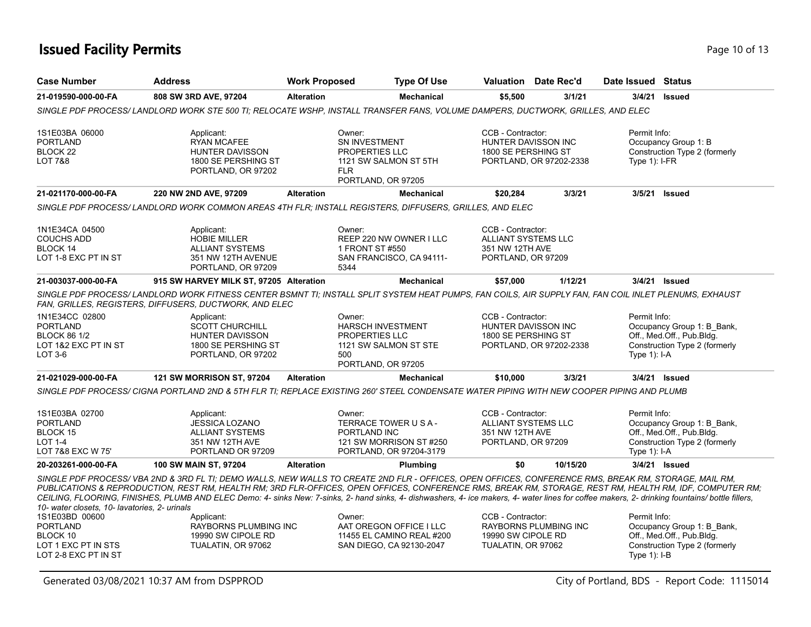# **Issued Facility Permits** Provide the Contract of the Page 10 of 13

| <b>Case Number</b>                                                                          | <b>Address</b>                                                                                                                                                                                                                                                                                                                                                                                                                                                                                                      |                      | <b>Type Of Use</b>                                                                          |                                                                                          | <b>Valuation</b> Date Rec'd  |                                 | Date Issued Status                                                                       |
|---------------------------------------------------------------------------------------------|---------------------------------------------------------------------------------------------------------------------------------------------------------------------------------------------------------------------------------------------------------------------------------------------------------------------------------------------------------------------------------------------------------------------------------------------------------------------------------------------------------------------|----------------------|---------------------------------------------------------------------------------------------|------------------------------------------------------------------------------------------|------------------------------|---------------------------------|------------------------------------------------------------------------------------------|
| 21-019590-000-00-FA                                                                         | 808 SW 3RD AVE, 97204                                                                                                                                                                                                                                                                                                                                                                                                                                                                                               | <b>Alteration</b>    | Mechanical                                                                                  | \$5,500                                                                                  | 3/1/21                       | 3/4/21                          | <b>Issued</b>                                                                            |
|                                                                                             | SINGLE PDF PROCESS/ LANDLORD WORK STE 500 TI; RELOCATE WSHP, INSTALL TRANSFER FANS, VOLUME DAMPERS, DUCTWORK, GRILLES, AND ELEC                                                                                                                                                                                                                                                                                                                                                                                     |                      |                                                                                             |                                                                                          |                              |                                 |                                                                                          |
| 1S1E03BA 06000<br><b>PORTLAND</b><br>BLOCK 22<br>LOT 7&8                                    | Applicant:<br><b>RYAN MCAFEE</b><br><b>HUNTER DAVISSON</b><br>1800 SE PERSHING ST<br>PORTLAND, OR 97202                                                                                                                                                                                                                                                                                                                                                                                                             | Owner:<br><b>FLR</b> | SN INVESTMENT<br><b>PROPERTIES LLC</b><br>1121 SW SALMON ST 5TH<br>PORTLAND, OR 97205       | CCB - Contractor:<br>HUNTER DAVISSON INC<br>1800 SE PERSHING ST                          | PORTLAND, OR 97202-2338      | Permit Info:<br>Type $1$ : I-FR | Occupancy Group 1: B<br>Construction Type 2 (formerly                                    |
| 21-021170-000-00-FA                                                                         | 220 NW 2ND AVE, 97209                                                                                                                                                                                                                                                                                                                                                                                                                                                                                               | <b>Alteration</b>    | Mechanical                                                                                  | \$20,284                                                                                 | 3/3/21                       | 3/5/21                          | <b>Issued</b>                                                                            |
|                                                                                             | SINGLE PDF PROCESS/LANDLORD WORK COMMON AREAS 4TH FLR; INSTALL REGISTERS, DIFFUSERS, GRILLES, AND ELEC                                                                                                                                                                                                                                                                                                                                                                                                              |                      |                                                                                             |                                                                                          |                              |                                 |                                                                                          |
| 1N1E34CA 04500<br><b>COUCHS ADD</b><br>BLOCK 14<br>LOT 1-8 EXC PT IN ST                     | Applicant:<br><b>HOBIE MILLER</b><br><b>ALLIANT SYSTEMS</b><br>351 NW 12TH AVENUE<br>PORTLAND, OR 97209                                                                                                                                                                                                                                                                                                                                                                                                             | Owner:<br>5344       | REEP 220 NW OWNER I LLC<br>1 FRONT ST #550<br>SAN FRANCISCO, CA 94111-                      | CCB - Contractor:<br><b>ALLIANT SYSTEMS LLC</b><br>351 NW 12TH AVE<br>PORTLAND, OR 97209 |                              |                                 |                                                                                          |
| 21-003037-000-00-FA                                                                         | 915 SW HARVEY MILK ST, 97205 Alteration                                                                                                                                                                                                                                                                                                                                                                                                                                                                             |                      | <b>Mechanical</b>                                                                           | \$57,000                                                                                 | 1/12/21                      |                                 | 3/4/21 Issued                                                                            |
|                                                                                             | SINGLE PDF PROCESS/ LANDLORD WORK FITNESS CENTER BSMNT TI; INSTALL SPLIT SYSTEM HEAT PUMPS, FAN COILS, AIR SUPPLY FAN, FAN COIL INLET PLENUMS, EXHAUST<br>FAN, GRILLES, REGISTERS, DIFFUSERS, DUCTWORK, AND ELEC                                                                                                                                                                                                                                                                                                    |                      |                                                                                             |                                                                                          |                              |                                 |                                                                                          |
| 1N1E34CC 02800<br><b>PORTLAND</b><br><b>BLOCK 86 1/2</b><br>LOT 1&2 EXC PT IN ST<br>LOT 3-6 | Applicant:<br><b>SCOTT CHURCHILL</b><br><b>HUNTER DAVISSON</b><br>1800 SE PERSHING ST<br>PORTLAND, OR 97202                                                                                                                                                                                                                                                                                                                                                                                                         | Owner:<br>500        | <b>HARSCH INVESTMENT</b><br>PROPERTIES LLC<br>1121 SW SALMON ST STE<br>PORTLAND, OR 97205   | CCB - Contractor:<br>HUNTER DAVISSON INC<br>1800 SE PERSHING ST                          | PORTLAND, OR 97202-2338      | Permit Info:<br>Type $1$ : I-A  | Occupancy Group 1: B Bank,<br>Off., Med.Off., Pub.Bldg.<br>Construction Type 2 (formerly |
| 21-021029-000-00-FA                                                                         | <b>121 SW MORRISON ST, 97204</b>                                                                                                                                                                                                                                                                                                                                                                                                                                                                                    | <b>Alteration</b>    | <b>Mechanical</b>                                                                           | \$10,000                                                                                 | 3/3/21                       |                                 | 3/4/21 <b>Issued</b>                                                                     |
|                                                                                             | SINGLE PDF PROCESS/ CIGNA PORTLAND 2ND & 5TH FLR TI; REPLACE EXISTING 260' STEEL CONDENSATE WATER PIPING WITH NEW COOPER PIPING AND PLUMB                                                                                                                                                                                                                                                                                                                                                                           |                      |                                                                                             |                                                                                          |                              |                                 |                                                                                          |
| 1S1E03BA 02700<br><b>PORTLAND</b><br>BLOCK 15<br><b>LOT 1-4</b><br>LOT 7&8 EXC W 75'        | Applicant:<br><b>JESSICA LOZANO</b><br><b>ALLIANT SYSTEMS</b><br>351 NW 12TH AVE<br>PORTLAND OR 97209                                                                                                                                                                                                                                                                                                                                                                                                               | Owner:               | TERRACE TOWER U S A -<br>PORTLAND INC<br>121 SW MORRISON ST #250<br>PORTLAND, OR 97204-3179 | CCB - Contractor:<br>ALLIANT SYSTEMS LLC<br>351 NW 12TH AVE<br>PORTLAND, OR 97209        |                              | Permit Info:<br>Type 1): I-A    | Occupancy Group 1: B_Bank,<br>Off., Med.Off., Pub.Bldg.<br>Construction Type 2 (formerly |
| 20-203261-000-00-FA                                                                         | 100 SW MAIN ST, 97204                                                                                                                                                                                                                                                                                                                                                                                                                                                                                               | <b>Alteration</b>    | Plumbing                                                                                    | \$0                                                                                      | 10/15/20                     |                                 | 3/4/21 Issued                                                                            |
| 10- water closets, 10- lavatories, 2- urinals                                               | SINGLE PDF PROCESS/VBA 2ND & 3RD FL TI; DEMO WALLS, NEW WALLS TO CREATE 2ND FLR - OFFICES, OPEN OFFICES, CONFERENCE RMS, BREAK RM, STORAGE, MAIL RM,<br>PUBLICATIONS & REPRODUCTION, REST RM, HEALTH RM; 3RD FLR-OFFICES, OPEN OFFICES, CONFERENCE RMS, BREAK RM, STORAGE, REST RM, HEALTH RM, IDF, COMPUTER RM;<br>CEILING, FLOORING, FINISHES, PLUMB AND ELEC Demo: 4- sinks New: 7-sinks, 2- hand sinks, 4- dishwashers, 4- ice makers, 4- water lines for coffee makers, 2- drinking fountains/ bottle fillers, |                      |                                                                                             |                                                                                          |                              |                                 |                                                                                          |
| 1S1E03BD 00600                                                                              | Applicant:                                                                                                                                                                                                                                                                                                                                                                                                                                                                                                          | Owner:               |                                                                                             | CCB - Contractor:                                                                        |                              | Permit Info:                    |                                                                                          |
| <b>PORTLAND</b><br>BLOCK 10<br>LOT 1 EXC PT IN STS<br>LOT 2-8 EXC PT IN ST                  | <b>RAYBORNS PLUMBING INC</b><br>19990 SW CIPOLE RD<br>TUALATIN, OR 97062                                                                                                                                                                                                                                                                                                                                                                                                                                            |                      | AAT OREGON OFFICE I LLC<br>11455 EL CAMINO REAL #200<br>SAN DIEGO, CA 92130-2047            | 19990 SW CIPOLE RD<br>TUALATIN, OR 97062                                                 | <b>RAYBORNS PLUMBING INC</b> | Type 1): I-B                    | Occupancy Group 1: B Bank,<br>Off., Med.Off., Pub.Bldg.<br>Construction Type 2 (formerly |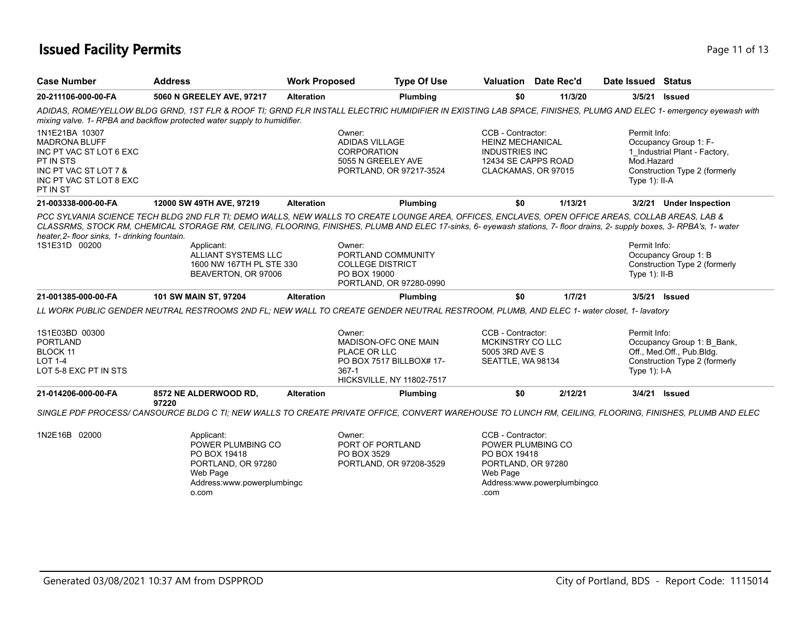# **Issued Facility Permits** Provide the Contract of 13 Page 11 of 13

| <b>Case Number</b>                                                                                                                             | <b>Address</b>                                                                                                           | <b>Work Proposed</b> | <b>Type Of Use</b>                                                                                                                                                                                                                                                                                                                                                                                                                   |                                                                                                                     | Valuation Date Rec'd        | Date Issued Status                             |                                                                                          |
|------------------------------------------------------------------------------------------------------------------------------------------------|--------------------------------------------------------------------------------------------------------------------------|----------------------|--------------------------------------------------------------------------------------------------------------------------------------------------------------------------------------------------------------------------------------------------------------------------------------------------------------------------------------------------------------------------------------------------------------------------------------|---------------------------------------------------------------------------------------------------------------------|-----------------------------|------------------------------------------------|------------------------------------------------------------------------------------------|
| 20-211106-000-00-FA                                                                                                                            | 5060 N GREELEY AVE, 97217                                                                                                | <b>Alteration</b>    | Plumbing                                                                                                                                                                                                                                                                                                                                                                                                                             | \$0                                                                                                                 | 11/3/20                     | 3/5/21                                         | <b>Issued</b>                                                                            |
|                                                                                                                                                | mixing valve. 1- RPBA and backflow protected water supply to humidifier.                                                 |                      | ADIDAS, ROME/YELLOW BLDG GRND, 1ST FLR & ROOF TI; GRND FLR INSTALL ELECTRIC HUMIDIFIER IN EXISTING LAB SPACE, FINISHES, PLUMG AND ELEC 1- emergency eyewash with                                                                                                                                                                                                                                                                     |                                                                                                                     |                             |                                                |                                                                                          |
| 1N1E21BA 10307<br><b>MADRONA BLUFF</b><br>INC PT VAC ST LOT 6 EXC<br>PT IN STS<br>INC PT VAC ST LOT 7 &<br>INC PT VAC ST LOT 8 EXC<br>PT IN ST |                                                                                                                          |                      | Owner:<br><b>ADIDAS VILLAGE</b><br><b>CORPORATION</b><br>5055 N GREELEY AVE<br>PORTLAND, OR 97217-3524                                                                                                                                                                                                                                                                                                                               | CCB - Contractor:<br><b>HEINZ MECHANICAL</b><br><b>INDUSTRIES INC</b><br>12434 SE CAPPS ROAD<br>CLACKAMAS, OR 97015 |                             | Permit Info:<br>Mod.Hazard<br>Type $1$ ): II-A | Occupancy Group 1: F-<br>1_Industrial Plant - Factory,<br>Construction Type 2 (formerly  |
| 21-003338-000-00-FA                                                                                                                            | 12000 SW 49TH AVE, 97219                                                                                                 | <b>Alteration</b>    | Plumbing                                                                                                                                                                                                                                                                                                                                                                                                                             | \$0                                                                                                                 | 1/13/21                     |                                                | 3/2/21 Under Inspection                                                                  |
| heater, 2- floor sinks, 1- drinking fountain.<br>1S1E31D 00200                                                                                 | Applicant:<br>ALLIANT SYSTEMS LLC<br>1600 NW 167TH PL STE 330<br>BEAVERTON, OR 97006                                     |                      | PCC SYLVANIA SCIENCE TECH BLDG 2ND FLR TI; DEMO WALLS, NEW WALLS TO CREATE LOUNGE AREA, OFFICES, ENCLAVES, OPEN OFFICE AREAS, COLLAB AREAS, LAB &<br>CLASSRMS, STOCK RM, CHEMICAL STORAGE RM, CEILING, FLOORING, FINISHES, PLUMB AND ELEC 17-sinks, 6- eyewash stations, 7- floor drains, 2- supply boxes, 3- RPBA's, 1- water<br>Owner:<br>PORTLAND COMMUNITY<br><b>COLLEGE DISTRICT</b><br>PO BOX 19000<br>PORTLAND, OR 97280-0990 |                                                                                                                     |                             | Permit Info:<br>Type 1): II-B                  | Occupancy Group 1: B<br>Construction Type 2 (formerly                                    |
| 21-001385-000-00-FA                                                                                                                            | 101 SW MAIN ST, 97204                                                                                                    | <b>Alteration</b>    | <b>Plumbing</b>                                                                                                                                                                                                                                                                                                                                                                                                                      | \$0                                                                                                                 | 1/7/21                      |                                                | 3/5/21 Issued                                                                            |
|                                                                                                                                                |                                                                                                                          |                      | LL WORK PUBLIC GENDER NEUTRAL RESTROOMS 2ND FL; NEW WALL TO CREATE GENDER NEUTRAL RESTROOM, PLUMB, AND ELEC 1- water closet, 1- lavatory                                                                                                                                                                                                                                                                                             |                                                                                                                     |                             |                                                |                                                                                          |
| 1S1E03BD 00300<br><b>PORTLAND</b><br>BLOCK 11<br><b>LOT 1-4</b><br>LOT 5-8 EXC PT IN STS                                                       |                                                                                                                          |                      | Owner:<br>MADISON-OFC ONE MAIN<br>PLACE OR LLC<br>PO BOX 7517 BILLBOX# 17-<br>$367-1$<br>HICKSVILLE, NY 11802-7517                                                                                                                                                                                                                                                                                                                   | CCB - Contractor:<br>MCKINSTRY CO LLC<br>5005 3RD AVE S<br>SEATTLE, WA 98134                                        |                             | Permit Info:<br>Type 1): I-A                   | Occupancy Group 1: B_Bank,<br>Off., Med.Off., Pub.Bldg.<br>Construction Type 2 (formerly |
| 21-014206-000-00-FA                                                                                                                            | 8572 NE ALDERWOOD RD,                                                                                                    | <b>Alteration</b>    | Plumbing                                                                                                                                                                                                                                                                                                                                                                                                                             | \$0                                                                                                                 | 2/12/21                     | 3/4/21                                         | <b>Issued</b>                                                                            |
|                                                                                                                                                | 97220                                                                                                                    |                      | SINGLE PDF PROCESS/ CANSOURCE BLDG C TI: NEW WALLS TO CREATE PRIVATE OFFICE, CONVERT WAREHOUSE TO LUNCH RM, CEILING, FLOORING, FINISHES, PLUMB AND ELEC                                                                                                                                                                                                                                                                              |                                                                                                                     |                             |                                                |                                                                                          |
| 1N2E16B 02000                                                                                                                                  | Applicant:<br>POWER PLUMBING CO<br>PO BOX 19418<br>PORTLAND, OR 97280<br>Web Page<br>Address:www.powerplumbingc<br>o.com |                      | Owner:<br>PORT OF PORTLAND<br>PO BOX 3529<br>PORTLAND, OR 97208-3529                                                                                                                                                                                                                                                                                                                                                                 | CCB - Contractor:<br>POWER PLUMBING CO<br>PO BOX 19418<br>PORTLAND, OR 97280<br>Web Page<br>.com                    | Address:www.powerplumbingco |                                                |                                                                                          |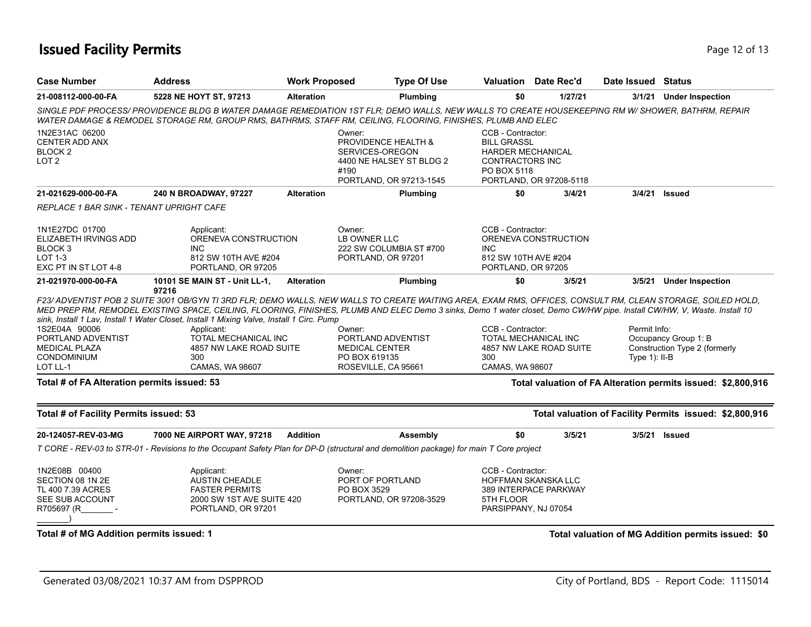# **Issued Facility Permits** Page 12 of 13

| <b>Case Number</b>                                                                               | <b>Address</b>                                                                                                                                                                                                                                                                                                                                                                                                                                                                                                                  | <b>Work Proposed</b> | <b>Type Of Use</b>                                                                                                         | Valuation                                                                                                    | Date Rec'd              | Date Issued Status              |                                                              |
|--------------------------------------------------------------------------------------------------|---------------------------------------------------------------------------------------------------------------------------------------------------------------------------------------------------------------------------------------------------------------------------------------------------------------------------------------------------------------------------------------------------------------------------------------------------------------------------------------------------------------------------------|----------------------|----------------------------------------------------------------------------------------------------------------------------|--------------------------------------------------------------------------------------------------------------|-------------------------|---------------------------------|--------------------------------------------------------------|
| 21-008112-000-00-FA                                                                              | 5228 NE HOYT ST, 97213                                                                                                                                                                                                                                                                                                                                                                                                                                                                                                          | <b>Alteration</b>    | Plumbing                                                                                                                   | \$0                                                                                                          | 1/27/21                 |                                 | 3/1/21 Under Inspection                                      |
|                                                                                                  | SINGLE PDF PROCESS/ PROVIDENCE BLDG B WATER DAMAGE REMEDIATION 1ST FLR; DEMO WALLS, NEW WALLS TO CREATE HOUSEKEEPING RM W/ SHOWER, BATHRM, REPAIR<br>WATER DAMAGE & REMODEL STORAGE RM, GROUP RMS, BATHRMS, STAFF RM, CEILING, FLOORING, FINISHES, PLUMB AND ELEC                                                                                                                                                                                                                                                               |                      |                                                                                                                            |                                                                                                              |                         |                                 |                                                              |
| 1N2E31AC 06200<br><b>CENTER ADD ANX</b><br>BLOCK 2<br>LOT <sub>2</sub>                           |                                                                                                                                                                                                                                                                                                                                                                                                                                                                                                                                 |                      | Owner:<br><b>PROVIDENCE HEALTH &amp;</b><br>SERVICES-OREGON<br>4400 NE HALSEY ST BLDG 2<br>#190<br>PORTLAND, OR 97213-1545 | CCB - Contractor:<br><b>BILL GRASSL</b><br><b>HARDER MECHANICAL</b><br><b>CONTRACTORS INC</b><br>PO BOX 5118 | PORTLAND, OR 97208-5118 |                                 |                                                              |
| 21-021629-000-00-FA                                                                              | 240 N BROADWAY, 97227                                                                                                                                                                                                                                                                                                                                                                                                                                                                                                           | <b>Alteration</b>    | Plumbing                                                                                                                   | \$0                                                                                                          | 3/4/21                  |                                 | 3/4/21 Issued                                                |
| REPLACE 1 BAR SINK - TENANT UPRIGHT CAFE                                                         |                                                                                                                                                                                                                                                                                                                                                                                                                                                                                                                                 |                      |                                                                                                                            |                                                                                                              |                         |                                 |                                                              |
| 1N1E27DC 01700<br>ELIZABETH IRVINGS ADD<br>BLOCK <sub>3</sub><br>LOT 1-3<br>EXC PT IN ST LOT 4-8 | Applicant:<br>ORENEVA CONSTRUCTION<br><b>INC</b><br>812 SW 10TH AVE #204<br>PORTLAND, OR 97205                                                                                                                                                                                                                                                                                                                                                                                                                                  |                      | Owner:<br>LB OWNER LLC<br>222 SW COLUMBIA ST #700<br>PORTLAND, OR 97201                                                    | CCB - Contractor:<br><b>INC</b><br>812 SW 10TH AVE #204<br>PORTLAND, OR 97205                                | ORENEVA CONSTRUCTION    |                                 |                                                              |
| 21-021970-000-00-FA                                                                              | 10101 SE MAIN ST - Unit LL-1,<br>97216                                                                                                                                                                                                                                                                                                                                                                                                                                                                                          | <b>Alteration</b>    | Plumbing                                                                                                                   | \$0                                                                                                          | 3/5/21                  |                                 | 3/5/21 Under Inspection                                      |
| 1S2E04A 90006<br>PORTLAND ADVENTIST<br><b>MEDICAL PLAZA</b><br><b>CONDOMINIUM</b><br>LOT LL-1    | F23/ ADVENTIST POB 2 SUITE 3001 OB/GYN TI 3RD FLR; DEMO WALLS, NEW WALLS TO CREATE WAITING AREA, EXAM RMS, OFFICES, CONSULT RM, CLEAN STORAGE, SOILED HOLD,<br>MED PREP RM, REMODEL EXISTING SPACE, CEILING, FLOORING, FINISHES, PLUMB AND ELEC Demo 3 sinks, Demo 1 water closet, Demo CW/HW pipe. Install CW/HW, V, Waste. Install 10<br>sink, Install 1 Lav, Install 1 Water Closet, Install 1 Mixing Valve, Install 1 Circ. Pump<br>Applicant:<br>TOTAL MECHANICAL INC<br>4857 NW LAKE ROAD SUITE<br>300<br>CAMAS, WA 98607 |                      | Owner:<br>PORTLAND ADVENTIST<br><b>MEDICAL CENTER</b><br>PO BOX 619135<br>ROSEVILLE, CA 95661                              | CCB - Contractor:<br><b>TOTAL MECHANICAL INC</b><br>300<br>CAMAS, WA 98607                                   | 4857 NW LAKE ROAD SUITE | Permit Info:<br>Type $1$ : II-B | Occupancy Group 1: B<br>Construction Type 2 (formerly        |
| Total # of FA Alteration permits issued: 53                                                      |                                                                                                                                                                                                                                                                                                                                                                                                                                                                                                                                 |                      |                                                                                                                            |                                                                                                              |                         |                                 | Total valuation of FA Alteration permits issued: \$2,800,916 |
| Total # of Facility Permits issued: 53                                                           |                                                                                                                                                                                                                                                                                                                                                                                                                                                                                                                                 |                      |                                                                                                                            |                                                                                                              |                         |                                 | Total valuation of Facility Permits issued: \$2,800,916      |
| 20-124057-REV-03-MG                                                                              | 7000 NE AIRPORT WAY, 97218                                                                                                                                                                                                                                                                                                                                                                                                                                                                                                      | <b>Addition</b>      | Assembly                                                                                                                   | \$0                                                                                                          | 3/5/21                  | 3/5/21                          | <b>Issued</b>                                                |
|                                                                                                  | T CORE - REV-03 to STR-01 - Revisions to the Occupant Safety Plan for DP-D (structural and demolition package) for main T Core project                                                                                                                                                                                                                                                                                                                                                                                          |                      |                                                                                                                            |                                                                                                              |                         |                                 |                                                              |
| 1N2E08B 00400<br>SECTION 08 1N 2E<br>TL 400 7.39 ACRES<br>SEE SUB ACCOUNT<br>R705697 (R          | Applicant:<br><b>AUSTIN CHEADLE</b><br><b>FASTER PERMITS</b><br>2000 SW 1ST AVE SUITE 420<br>PORTLAND, OR 97201                                                                                                                                                                                                                                                                                                                                                                                                                 |                      | Owner:<br>PORT OF PORTLAND<br>PO BOX 3529<br>PORTLAND, OR 97208-3529                                                       | CCB - Contractor:<br>HOFFMAN SKANSKA LLC<br>5TH FLOOR<br>PARSIPPANY, NJ 07054                                | 389 INTERPACE PARKWAY   |                                 |                                                              |
| Total # of MG Addition permits issued: 1                                                         |                                                                                                                                                                                                                                                                                                                                                                                                                                                                                                                                 |                      |                                                                                                                            |                                                                                                              |                         |                                 | Total valuation of MG Addition permits issued: \$0           |